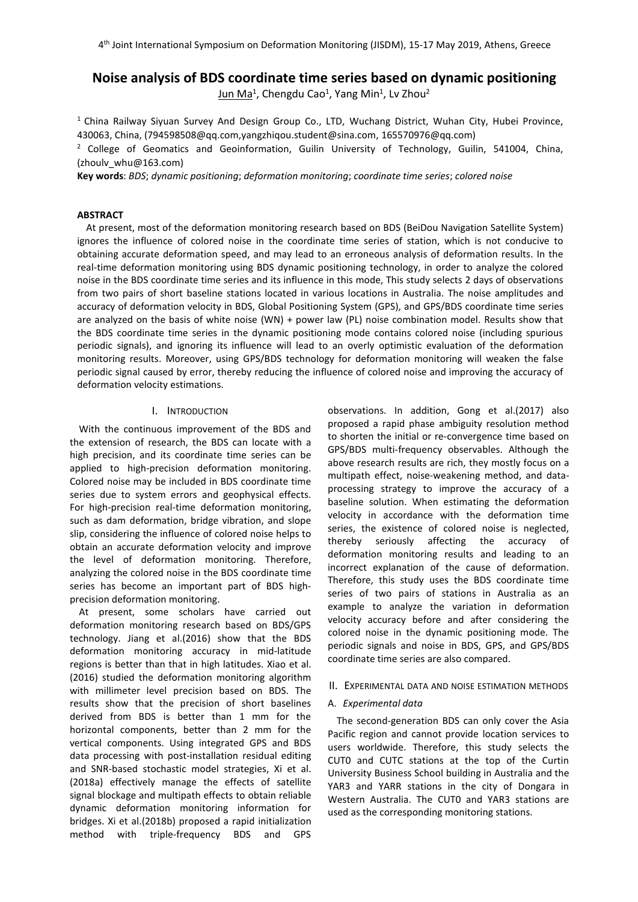# **Noise analysis of BDS coordinate time series based on dynamic positioning**

<u>Jun Ma</u><sup>1</sup>, Chengdu Cao<sup>1</sup>, Yang Min<sup>1</sup>, Lv Zhou<sup>2</sup> 2

<sup>1</sup> China Railway Siyuan Survey And Design Group Co., LTD, Wuchang District, Wuhan City, Hubei Province, 430063, China, (794598508@qq.com,yangzhiqou.student@sina.com, 165570976@qq.com)

<sup>2</sup> College of Geomatics and Geoinformation, Guilin University of Technology, Guilin, 541004, China, (zhoulv\_whu@163.com)

**Key words**: *BDS*; *dynamic positioning*; *deformation monitoring*; *coordinate time series*; *colored noise*

## **ABSTRACT**

At present, most of the deformation monitoring research based on BDS (BeiDou Navigation Satellite System) ignores the influence of colored noise in the coordinate time series of station, which is not conducive to obtaining accurate deformation speed, and may lead to an erroneous analysis of deformation results. In the real-time deformation monitoring using BDS dynamic positioning technology, in order to analyze the colored noise in the BDS coordinate time series and its influence in this mode, This study selects 2 days of observations from two pairs of short baseline stations located in various locations in Australia. The noise amplitudes and accuracy of deformation velocity in BDS, Global Positioning System (GPS), and GPS/BDS coordinate time series are analyzed on the basis of white noise (WN) + power law (PL) noise combination model. Results show that the BDS coordinate time series in the dynamic positioning mode contains colored noise (including spurious periodic signals), and ignoring its influence will lead to an overly optimistic evaluation of the deformation monitoring results. Moreover, using GPS/BDS technology for deformation monitoring will weaken the false periodic signal caused by error, thereby reducing the influence of colored noise and improving the accuracy of deformation velocity estimations.

### I. INTRODUCTION

With the continuous improvement of the BDS and the extension of research, the BDS can locate with a high precision, and its coordinate time series can be applied to high-precision deformation monitoring. Colored noise may be included in BDS coordinate time series due to system errors and geophysical effects. For high-precision real-time deformation monitoring,<br>such as dam deformation, bridge vibration, and slope slip, considering the influence of colored noise helps to obtain an accurate deformation velocity and improve the level of deformation monitoring. Therefore, analyzing the colored noise in the BDS coordinate time series has become an important part of BDS high precision deformation monitoring.

At present, some scholars have carried out deformation monitoring research based on BDS/GPS technology. Jiang et al.(2016) show that the BDS deformation monitoring accuracy in mid-latitude regions is better than that in high latitudes. Xiao et al. (2016) studied the deformation monitoring algorithm with millimeter level precision based on BDS. The results show that the precision of short baselines derived from BDS is better than 1 mm for the horizontal components, better than 2 mm for the vertical components. Using integrated GPS and BDS data processing with post-installation residual editing and SNR-based stochastic model strategies, Xi et al. (2018a) effectively manage the effects of satellite signal blockage and multipath effects to obtain reliable dynamic deformation monitoring information for bridges. Xi et al.(2018b) proposed a rapid initialization method with triple-frequency BDS and GPS

observations. In addition, Gong et al.(2017) also proposed a rapid phase ambiguity resolution method to shorten the initial or re-convergence time based on GPS/BDS multi-frequency observables. Although the above research results are rich, they mostly focus on a multipath effect, noise-weakening method, and data processing strategy to improve the accuracy of a baseline solution. When estimating the deformation velocity in accordance with the deformation time series, the existence of colored noise is neglected, thereby seriously affecting the accuracy of deformation monitoring results and leading to an incorrect explanation of the cause of deformation. Therefore, this study uses the BDS coordinate time series of two pairs of stations in Australia as an example to analyze the variation in deformation velocity accuracy before and after considering the colored noise in the dynamic positioning mode. The periodic signals and noise in BDS, GPS, and GPS/BDS coordinate time series are also compared.

## II. EXPERIMENTAL DATA AND NOISE ESTIMATION METHODS

## A. *Experimental data*

The second-generation BDS can only cover the Asia Pacific region and cannot provide location services to users worldwide. Therefore, this study selects the CUT0 and CUTC stations at the top of the Curtin University Business School building in Australia and the YAR3 and YARR stations in the city of Dongara in Western Australia. The CUT0 and YAR3 stations are used as the corresponding monitoring stations.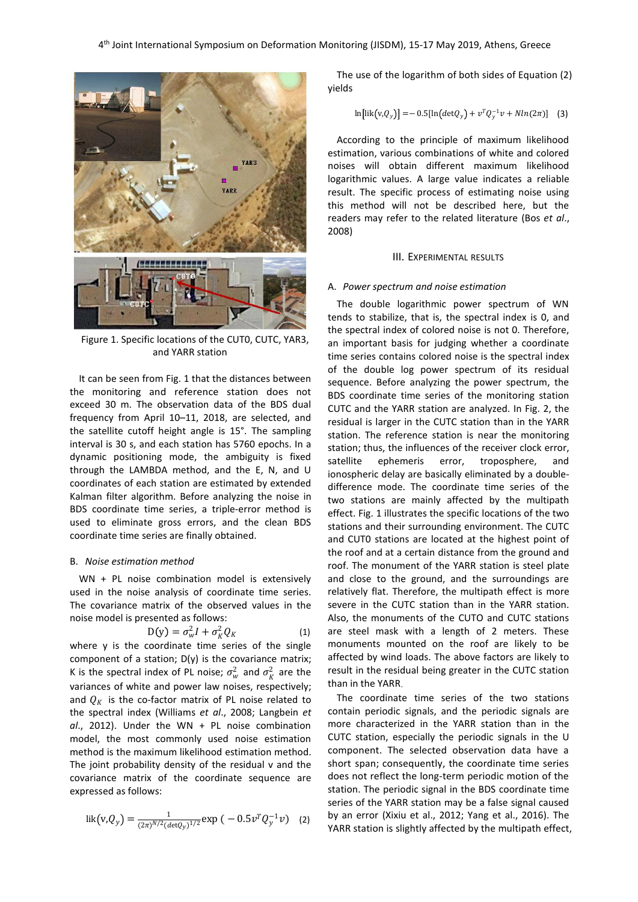

Figure 1. Specific locations of the CUT0, CUTC, YAR3, and YARR station

It can be seen from Fig. 1 that the distances between the monitoring and reference station does not exceed 30 m. The observation data of the BDS dual frequency from April 10–11, 2018, are selected, and the satellite cutoff height angle is 15°. The sampling interval is 30 s, and each station has 5760 epochs. In a dynamic positioning mode, the ambiguity is fixed satellite ephemeris dynamic positioning mode, the ambiguity is fixed satellite ephemeris error,<br>through the LAMBDA method, and the E, N, and U ionospheric delay are basically e coordinates of each station are estimated by extended Kalman filter algorithm. Before analyzing the noise in BDS coordinate time series, a triple-error method is used to eliminate gross errors, and the clean BDS coordinate time series are finally obtained.

#### B. *Noise estimation method*

 $WN + PL$  noise combination model is extensively used in the noise analysis of coordinate time series. The covariance matrix of the observed values in the noise model is presented as follows:

$$
D(y) = \sigma_w^2 I + \sigma_K^2 Q_K \tag{1} \quad \text{are ste}
$$

where  $y$  is the coordinate time series of the single component of a station; D(y) is the covariance matrix; K is the spectral index of PL noise;  $\sigma_w^2$  and  $\sigma_R^2$  are the result in the spectral index of PL noise;  $\sigma_w^2$  and  $\sigma_R^2$  are the spectral in the spectral index variances of white and power law noises, respectively; and  $Q_K$  is the co-factor matrix of PL noise related to the spectral index (Williams *et al*.,2008; Langbein *et al*., 2012). Under the WN + PLnoise combination model, the most commonly used noise estimation method is the maximum likelihood estimation method. The joint probability density of the residual v and the covariance matrix of the coordinate sequence are expressed as follows:

lik
$$
(v,Q_y) = \frac{1}{(2\pi)^{N/2} (\det Q_y)^{1/2}} \exp(-0.5v^T Q_y^{-1} v)
$$
 (2)

The use of the logarithm of both sides of Equation (2) yields

$$
\ln[\text{lik}(v, Q_y)] = -0.5[\ln(det Q_y) + v^T Q_y^{-1} v + N ln(2\pi)] \quad (3)
$$

According to the principle of maximum likelihood estimation, various combinations of white and colored noises will obtain different maximum likelihood logarithmic values. A large value indicates a reliable result. The specific process of estimating noise using this method will not be described here, but the readers may refer to the related literature (Bos *et al*.,2008)

#### III. EXPERIMENTAL RESULTS

#### A. *Power spectrum and noise estimation*

 ${}_{K}^{2}Q_{K}$  (1) are steel mask with a length of 2 meters. These  $\frac{2}{K}$  are the result in the residual being greater in the CUTC station The double logarithmic power spectrum of WN tends to stabilize, that is, the spectral index is 0, and the spectral index of colored noise is not 0. Therefore, an important basis for judging whether a coordinate time series contains colored noise is the spectral index of the double log power spectrum of its residual sequence. Before analyzing the power spectrum, the BDS coordinate time series of the monitoring station CUTC and the YARR station are analyzed. In Fig. 2, the residual is larger in the CUTC station than in the YARR station. The reference station is near the monitoring station; thus, the influences of the receiver clock error, troposphere, and ionospheric delay are basically eliminated by a double difference mode. The coordinate time series of the two stations are mainly affected by the multipath effect. Fig. 1 illustrates the specific locations of the two stations and their surrounding environment. The CUTC and CUT0 stations are located at the highest point of the roof and at a certain distance from the ground and roof. The monument of the YARR station is steel plate and close to the ground, and the surroundings are relatively flat. Therefore, the multipath effect is more severe in the CUTC station than in the YARR station. Also, the monuments of the CUTO and CUTC stations monuments mounted on the roof are likely to be affected by wind loads. The above factors are likely to than in the YARR.

 $\frac{1}{(2\pi)^{N/2}(\text{det}(y))^{1/2}} \exp(-0.5v^2 (y^2 + v))$  (2) by an error (xixid et al., 2012, rang et al., 2010). The YARR station is slightly affected by the multipath effect,  $(TQ_y^{-1}v)$  (2) by an error (Xixiu et al., 2012; Yang et al., 2016). The VAR station is slightly affected by the multinath offset The coordinate time series of the two stations contain periodic signals, and the periodic signals are more characterized in the YARR station than in the CUTC station, especially the periodic signals in the U component. The selected observation data have a short span; consequently, the coordinate time series does not reflect the long-term periodic motion of the station. The periodic signal in the BDS coordinate time series of the YARR station may be a false signal caused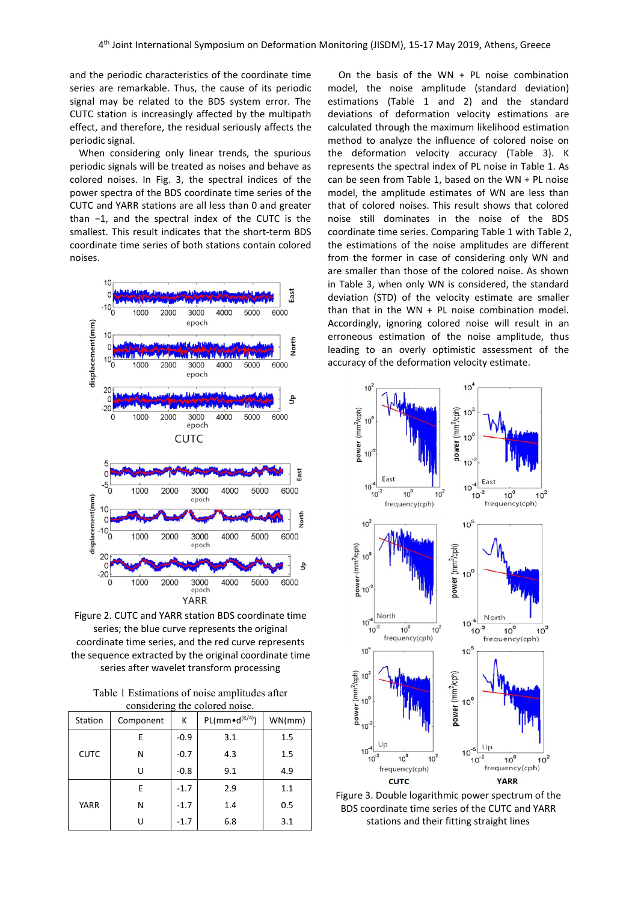and the periodic characteristics of the coordinate time series are remarkable. Thus, the cause of its periodic signal may be related to the BDS system error. The CUTC station is increasingly affected by the multipath effect, and therefore, the residual seriously affects the periodic signal.

When considering only linear trends, the spurious periodic signals will be treated as noises and behave as colored noises. In Fig. 3, the spectral indices of the power spectra of the BDS coordinate time series of the CUTC and YARR stations are all less than 0 and greater than −1, and the spectral index of the CUTC is the smallest. This result indicates that the short-term BDS coordinate time series of both stations contain colored noises.



Figure 2. CUTC and YARR station BDS coordinate time series; the blue curve represents the original coordinate time series, and the red curve represents frequency(cph) the sequence extracted by the original coordinate time

|    |  | series after wavelet transform processing                                       | 10 |
|----|--|---------------------------------------------------------------------------------|----|
|    |  | Table 1 Estimations of noise amplitudes after<br>considering the colored noise. |    |
| on |  | Component   $K$   PL(mm $\bullet$ d <sup>(K/4)</sup> )   WN(mm)                 |    |

| Station     | Component | К      | $PL(mm \cdot d^{(K/4)})$ | WN/mm) | $\sum_{10^{-2}}^{\infty}$     |
|-------------|-----------|--------|--------------------------|--------|-------------------------------|
|             | Е         | $-0.9$ | 3.1                      | 1.5    | U                             |
| <b>CUTC</b> | N         | $-0.7$ | 4.3                      | 1.5    | $10^{-4}$ $\frac{1}{10^{-2}}$ |
|             | U         | $-0.8$ | 9.1                      | 4.9    | fr                            |
| <b>YARR</b> | E         | $-1.7$ | 2.9                      | 1.1    | Figure 3. Do                  |
|             | N         | $-1.7$ | 1.4                      | 0.5    | <b>BDS</b> coord              |
|             | U         | $-1.7$ | 6.8                      | 3.1    | stati                         |

On the basis of the WN  $+$  PL noise combination model, the noise amplitude (standard deviation) estimations (Table 1 and 2) and the standard deviations of deformation velocity estimations are calculated through the maximum likelihood estimation method to analyze the influence of colored noise on the deformation velocity accuracy (Table 3). K represents the spectral index of PL noise in Table 1. As can be seen from Table 1, based on the WN + PL noise model, the amplitude estimates of WN are less than that of colored noises. This result shows that colored noise still dominates in the noise of the BDS coordinate time series. Comparing Table 1 with Table 2, the estimations of the noise amplitudes are different from the former in case of considering only WN and are smaller than those of the colored noise. As shown in Table 3, when only WN is considered, the standard deviation (STD) of the velocity estimate are smaller than that in the  $WN + PL$  noise combination model. Accordingly, ignoring colored noise will result in an erroneous estimation of the noise amplitude, thus leading to an overly optimistic assessment of the accuracy of the deformation velocity estimate.



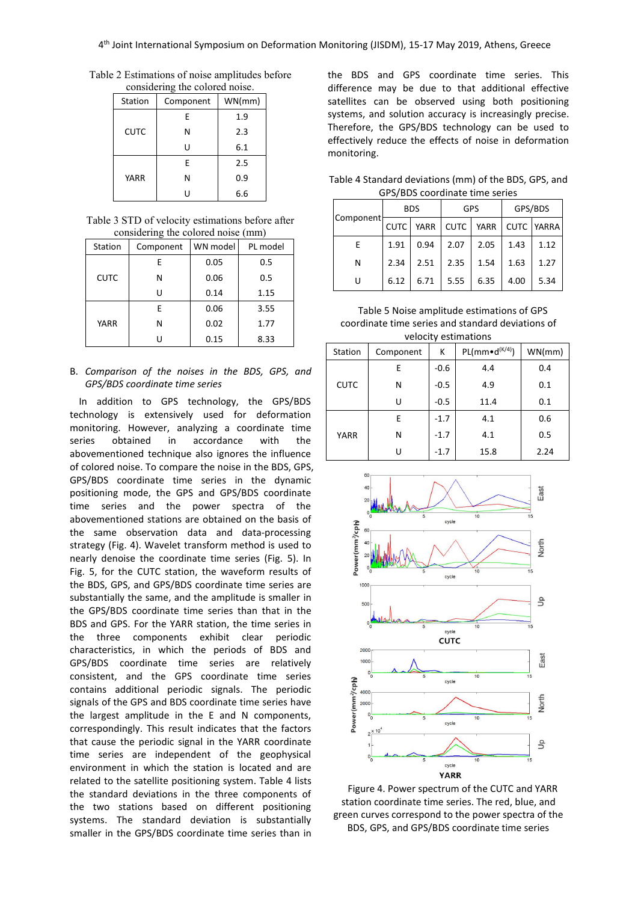Table 2 Estimations of noise amplitudes before considering the colored noise.

|             |           | uu     |                 |
|-------------|-----------|--------|-----------------|
| Station     | Component | WN(mm) | sat             |
|             | E         | 1.9    | sys             |
| <b>CUTC</b> | Ν         | 2.3    | Th <sub>o</sub> |
|             | U         | 6.1    | eff<br>mc       |
|             | E         | 2.5    |                 |
| <b>YARR</b> | Ν         | 0.9    | Ta              |
|             | U         | 6.6    |                 |

Table 3 STD of velocity estimations before after considering the colored noise (mm)

|             | $\sim$    |          |          |        |
|-------------|-----------|----------|----------|--------|
| Station     | Component | WN model | PL model | E      |
|             | E.        | 0.05     | 0.5      | N      |
| <b>CUTC</b> | N         | 0.06     | 0.5      |        |
|             |           | 0.14     | 1.15     |        |
|             | E.        | 0.06     | 3.55     | Тa     |
| <b>YARR</b> | N         | 0.02     | 1.77     | coordi |
|             |           | 0.15     | 8.33     |        |

## B. *Comparison of the noises in the BDS, GPS, and GPS/BDS coordinate time series*

In addition to GPS technology, the GPS/BDS technology is extensively used for deformation monitoring. However, analyzing a coordinate time series obtained in accordance with the abovementioned technique also ignores the influence of colored noise. To compare the noise in the BDS, GPS, GPS/BDS coordinate time series in the dynamic positioning mode, the GPS and GPS/BDS coordinate time series and the power spectra of the abovementioned stations are obtained on the basis of<br>the same observation data and data-processing<br>strategy (Fig. 4). Wavelet transform method is used to<br>nearly denoise the coordinate time series (Fig. 5). In<br>Fig. 5 for t the same observation data and data-processing strategy (Fig. 4). Wavelet transform method is used to nearly denoise the coordinate time series (Fig. 5). In Fig. 5, for the CUTC station, the waveform results of the BDS, GPS, and GPS/BDS coordinate time series are substantially the same, and the amplitude is smaller in the GPS/BDS coordinate time series than that in the BDS and GPS. For the YARR station, the time series in the three components exhibit clear periodic characteristics, in which the periods of BDS and<br>CDS (DDS exactlinate time excise are relatively GPS/BDS coordinate time series are relatively consistent, and the GPS coordinate time series<br>
contains additional periodic signals. The periodic<br>
signals of the GPS and BDS coordinate time series have<br>
the largest amplitude in the E and N components,<br>
correspondingly contains additional periodic signals. The periodic  $\frac{a}{b}$   $a_{00}$ signals of the GPS and BDS coordinate time series have  $\frac{2}{5}$  2000 the largest amplitude in the E and N components, correspondingly. This result indicates that the factors  $\sum_{n=1}^{\infty}$ that cause the periodic signal in the YARR coordinate time series are independent of the geophysical environment in which the station is located and are related to the satellite positioning system. Table 4 lists the standard deviations in the three components of the two stations based on different positioning systems. The standard deviation is substantially smaller in the GPS/BDS coordinate time series than in

the BDS and GPS coordinate time series. This difference may be due to that additional effective satellites can be observed using both positioning systems, and solution accuracy is increasingly precise. Therefore, the GPS/BDS technology can be used to effectively reduce the effects of noise in deformation monitoring.

Table 4 Standard deviations (mm) of the BDS, GPS, and GPS/BDS coordinate time series

|           | <b>BDS</b>  |             | <b>GPS</b>  |             | GPS/BDS     |       |
|-----------|-------------|-------------|-------------|-------------|-------------|-------|
| Component | <b>CUTC</b> | <b>YARR</b> | <b>CUTC</b> | <b>YARR</b> | <b>CUTC</b> | YARRA |
| E         | 1.91        | 0.94        | 2.07        | 2.05        | 1.43        | 1.12  |
| Ν         | 2.34        | 2.51        | 2.35        | 1.54        | 1.63        | 1.27  |
| U         | 6.12        | 6.71        | 5.55        | 6.35        | 4.00        | 5.34  |

N | 0.02 | 1.77 | coordinate time series and standard deviations of Table 5 Noise amplitude estimations of GPS velocity estimations

| Station     | Component | К      | $PL(mm \cdot d^{(K/4)})$ | WN/mm) |
|-------------|-----------|--------|--------------------------|--------|
|             | Е         | $-0.6$ | 4.4                      | 0.4    |
| <b>CUTC</b> | N         | $-0.5$ | 4.9                      | 0.1    |
|             | U         | $-0.5$ | 11.4                     | 0.1    |
|             | Е         | $-1.7$ | 4.1                      | 0.6    |
| YARR        | N         | $-1.7$ | 4.1                      | 0.5    |
|             | U         | $-1.7$ | 15.8                     | 2.24   |



Figure 4. Power spectrum of the CUTC and YARR station coordinate time series. The red, blue, and green curves correspond to the power spectra of the BDS, GPS, and GPS/BDS coordinate time series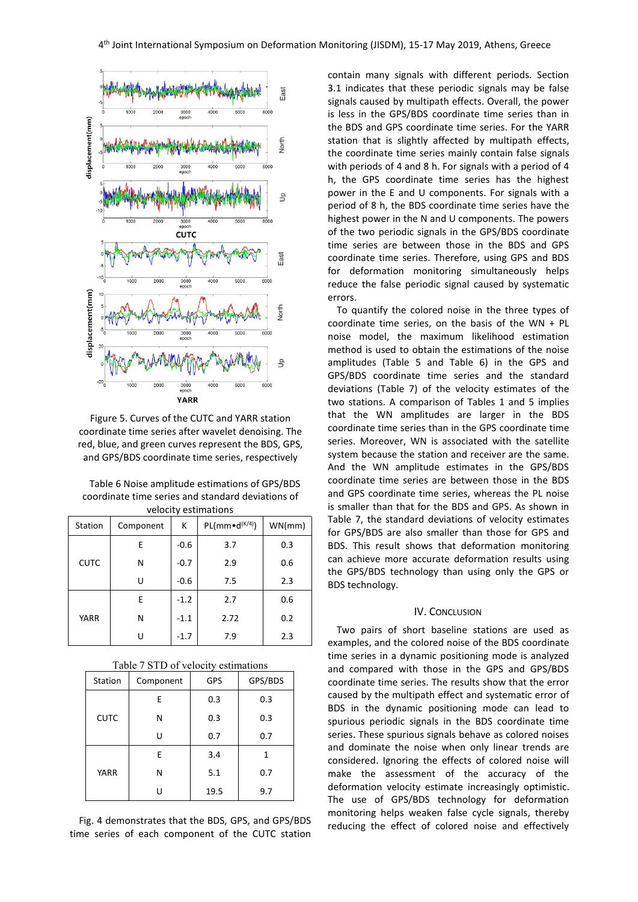

Figure 5. Curves of the CUTC and YARR station coordinate time series after wavelet denoising. The red, blue, and green curves represent the BDS, GPS, and GPS/BDS coordinate time series, respectively

| Table 6 Noise amplitude estimations of GPS/BDS    | coordina  |
|---------------------------------------------------|-----------|
| coordinate time series and standard deviations of | and GPS   |
| velocity estimations                              | is smalle |

| Table 7, the standard devia<br>for GPS/BDS are also small | WN/mm | $PL(mm \cdot d^{(K/4)})$ | К      | Component | Station     |
|-----------------------------------------------------------|-------|--------------------------|--------|-----------|-------------|
| BDS. This result shows that                               | 0.3   | 3.7                      | $-0.6$ | Е         |             |
| can achieve more accurate                                 | 0.6   | 2.9                      | $-0.7$ | N         | <b>CUTC</b> |
| the GPS/BDS technology tl<br>BDS technology.              | 2.3   | 7.5                      | $-0.6$ | U         |             |
|                                                           | 0.6   | 2.7                      | $-1.2$ | E         |             |
| IV. CON                                                   | 0.2   | 2.72                     | $-1.1$ | N         | <b>YARR</b> |
| Two pairs of short base<br>examples, and the colored i    | 2.3   | 7.9                      | $-1.7$ | U         |             |

| Table 7 STD of velocity estimations |  |
|-------------------------------------|--|
|-------------------------------------|--|

|             |           |            |         | anu cun             |  |
|-------------|-----------|------------|---------|---------------------|--|
| Station     | Component | <b>GPS</b> | GPS/BDS | coordina            |  |
|             | E.        | 0.3        | 0.3     | caused b            |  |
| <b>CUTC</b> | N         | 0.3        | 0.3     | BDS in<br>spurious  |  |
|             | U         | 0.7        | 0.7     | series. T           |  |
| <b>YARR</b> | E.        | 3.4        |         | and don<br>consider |  |
|             | N         | 5.1        | 0.7     | make t              |  |
|             |           | 19.5       | 9.7     | deforma<br>The use  |  |

Fig. 4 demonstrates that the BDS, GPS, and GPS/BDS time series of each component of the CUTC station contain many signals with different periods. Section 3.1 indicates that these periodic signals may be false signals caused by multipath effects. Overall, the power is less in the GPS/BDS coordinate time series than in the BDS and GPS coordinate time series. For the YARR station that is slightly affected by multipath effects, the coordinate time series mainly contain false signals with periods of 4 and 8 h. For signals with a period of 4 h, the GPS coordinate time series has the highest power in the E and U components. For signals with a period of 8 h, the BDS coordinate time series have the highest power in the N and U components. The powers of the two periodic signals in the GPS/BDS coordinate time series are between those in the BDS and GPS coordinate time series. Therefore, using GPS and BDS for deformation monitoring simultaneously helps reduce the false periodic signal caused by systematic errors.

Table 6 Noise amplitude estimations of GPS/BDS coordinate time series are between those in the BDS  $(k^{(k/4)})$  WN(mm) factor of the standard deviations of velocity estimates for GPS and E -0.6 3.7 0.3 BDS. This result shows that deformation monitoring N  $\vert$  -0.7  $\vert$  2.9  $\vert$  0.6  $\vert$  can achieve more accurate deformation results using To quantify the colored noise in the three types of coordinate time series, on the basis of the WN + PL noise model, the maximum likelihood estimation method is used to obtain the estimations of the noise amplitudes (Table 5 and Table 6) in the GPS and GPS/BDS coordinate time series and the standard deviations (Table 7) of the velocity estimates of the two stations. A comparison of Tables 1 and 5 implies that the WN amplitudes are larger in the BDS coordinate time series than in the GPS coordinate time series. Moreover, WN is associated with the satellite system because the station and receiver are the same. And the WN amplitude estimates in the GPS/BDS and GPS coordinate time series, whereas the PL noise is smaller than that for the BDS and GPS. As shown in Table 7, the standard deviations of velocity estimates the GPS/BDS technology than using only the GPS or

#### IV. CONCLUSION

Station | Component | GPS | GPS/BDS | coordinate time series. The results show that the error  $\mathsf{N}$   $\bigcup$  0.3  $\bigcup$  spurious periodic signals in the BDS coordinate time  $\cup$  | 0.7 | 0.7 | series. These spurious signals behave as colored noises N | 5.1 | 0.7 | make the assessment of the accuracy of the Two pairs of short baseline stations are used as examples, and the colored noise of the BDS coordinate time series in a dynamic positioning mode is analyzed and compared with those in the GPS and GPS/BDS caused by the multipath effect and systematic error of BDS in the dynamic positioning mode can lead to and dominate the noise when only linear trends are considered. Ignoring the effects of colored noise will deformation velocity estimate increasingly optimistic. The use of GPS/BDS technology for deformation monitoring helps weaken false cycle signals, thereby reducing the effect of colored noise and effectively